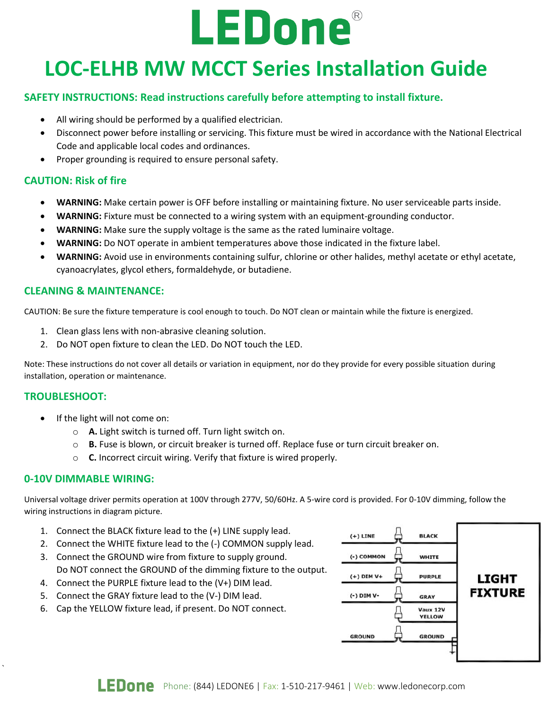# **LEDone®**

## **LOC-ELHB MW MCCT Series Installation Guide**

## **SAFETY INSTRUCTIONS: Read instructions carefully before attempting to install fixture.**

- All wiring should be performed by a qualified electrician.
- Disconnect power before installing or servicing. This fixture must be wired in accordance with the National Electrical Code and applicable local codes and ordinances.
- Proper grounding is required to ensure personal safety.

## **CAUTION: Risk of fire**

- **WARNING:** Make certain power is OFF before installing or maintaining fixture. No user serviceable parts inside.
- **WARNING:** Fixture must be connected to a wiring system with an equipment-grounding conductor.
- **WARNING:** Make sure the supply voltage is the same as the rated luminaire voltage.
- **WARNING:** Do NOT operate in ambient temperatures above those indicated in the fixture label.
- **WARNING:** Avoid use in environments containing sulfur, chlorine or other halides, methyl acetate or ethyl acetate, cyanoacrylates, glycol ethers, formaldehyde, or butadiene.

## **CLEANING & MAINTENANCE:**

CAUTION: Be sure the fixture temperature is cool enough to touch. Do NOT clean or maintain while the fixture is energized.

- 1. Clean glass lens with non-abrasive cleaning solution.
- 2. Do NOT open fixture to clean the LED. Do NOT touch the LED.

Note: These instructions do not cover all details or variation in equipment, nor do they provide for every possible situation during installation, operation or maintenance.

## **TROUBLESHOOT:**

`

- If the light will not come on:
	- o **A.** Light switch is turned off. Turn light switch on.
	- o **B.** Fuse is blown, or circuit breaker is turned off. Replace fuse or turn circuit breaker on.
	- o **C.** Incorrect circuit wiring. Verify that fixture is wired properly.

## **0-10V DIMMABLE WIRING:**

Universal voltage driver permits operation at 100V through 277V, 50/60Hz. A 5-wire cord is provided. For 0-10V dimming, follow the wiring instructions in diagram picture.

- 1. Connect the BLACK fixture lead to the (+) LINE supply lead.
- 2. Connect the WHITE fixture lead to the (-) COMMON supply lead.
- 3. Connect the GROUND wire from fixture to supply ground. Do NOT connect the GROUND of the dimming fixture to the output.
- 4. Connect the PURPLE fixture lead to the (V+) DIM lead.
- 5. Connect the GRAY fixture lead to the (V-) DIM lead.
- 6. Cap the YELLOW fixture lead, if present. Do NOT connect.